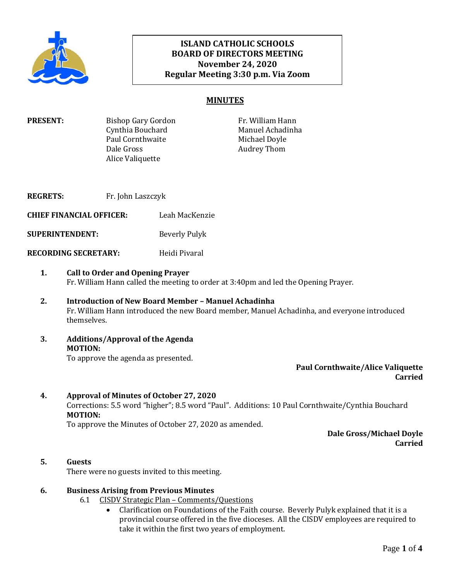

# **ISLAND CATHOLIC SCHOOLS BOARD OF DIRECTORS MEETING November 24, 2020 Regular Meeting 3:30 p.m. Via Zoom**

# **MINUTES**

| <b>PRESENT:</b> | Bishop Gary Gordon | Fr. William Hann |
|-----------------|--------------------|------------------|
|                 | Cynthia Bouchard   | Manuel Achadinha |
|                 | Paul Cornthwaite   | Michael Doyle    |
|                 | Dale Gross         | Audrey Thom      |
|                 | Alice Valiquette   |                  |
|                 |                    |                  |

**REGRETS:** Fr. John Laszczyk **CHIEF FINANCIAL OFFICER:** Leah MacKenzie **SUPERINTENDENT:** Beverly Pulyk **RECORDING SECRETARY:** Heidi Pivaral

#### **1. Call to Order and Opening Prayer**  Fr. William Hann called the meeting to order at 3:40pm and led the Opening Prayer.

- **2. Introduction of New Board Member – Manuel Achadinha** Fr. William Hann introduced the new Board member, Manuel Achadinha, and everyone introduced themselves.
- **3. Additions/Approval of the Agenda MOTION:** To approve the agenda as presented.

**Paul Cornthwaite/Alice Valiquette Carried**

#### **4. Approval of Minutes of October 27, 2020** Corrections: 5.5 word "higher"; 8.5 word "Paul". Additions: 10 Paul Cornthwaite/Cynthia Bouchard **MOTION:**

To approve the Minutes of October 27, 2020 as amended.

**Dale Gross/Michael Doyle Carried**

# **5. Guests**

There were no guests invited to this meeting.

# **6. Business Arising from Previous Minutes**

- 6.1 CISDV Strategic Plan Comments/Questions
	- Clarification on Foundations of the Faith course. Beverly Pulyk explained that it is a provincial course offered in the five dioceses. All the CISDV employees are required to take it within the first two years of employment.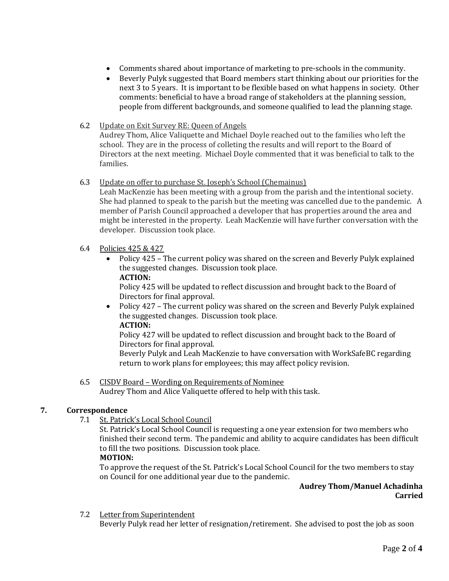- Comments shared about importance of marketing to pre-schools in the community.
- Beverly Pulyk suggested that Board members start thinking about our priorities for the next 3 to 5 years. It is important to be flexible based on what happens in society. Other comments: beneficial to have a broad range of stakeholders at the planning session, people from different backgrounds, and someone qualified to lead the planning stage.

## 6.2 Update on Exit Survey RE: Queen of Angels

Audrey Thom, Alice Valiquette and Michael Doyle reached out to the families who left the school. They are in the process of colleting the results and will report to the Board of Directors at the next meeting. Michael Doyle commented that it was beneficial to talk to the families.

### 6.3 Update on offer to purchase St. Joseph's School (Chemainus)

Leah MacKenzie has been meeting with a group from the parish and the intentional society. She had planned to speak to the parish but the meeting was cancelled due to the pandemic. A member of Parish Council approached a developer that has properties around the area and might be interested in the property. Leah MacKenzie will have further conversation with the developer. Discussion took place.

## 6.4 Policies 425 & 427

 Policy 425 – The current policy was shared on the screen and Beverly Pulyk explained the suggested changes. Discussion took place. **ACTION:**

Policy 425 will be updated to reflect discussion and brought back to the Board of Directors for final approval.

• Policy 427 – The current policy was shared on the screen and Beverly Pulyk explained the suggested changes. Discussion took place. **ACTION:**

Policy 427 will be updated to reflect discussion and brought back to the Board of Directors for final approval.

Beverly Pulyk and Leah MacKenzie to have conversation with WorkSafeBC regarding return to work plans for employees; this may affect policy revision.

# 6.5 CISDV Board – Wording on Requirements of Nominee

Audrey Thom and Alice Valiquette offered to help with this task.

## **7. Correspondence**

7.1 St. Patrick's Local School Council

St. Patrick's Local School Council is requesting a one year extension for two members who finished their second term. The pandemic and ability to acquire candidates has been difficult to fill the two positions. Discussion took place.

#### **MOTION:**

To approve the request of the St. Patrick's Local School Council for the two members to stay on Council for one additional year due to the pandemic.

### **Audrey Thom/Manuel Achadinha Carried**

7.2 Letter from Superintendent

Beverly Pulyk read her letter of resignation/retirement. She advised to post the job as soon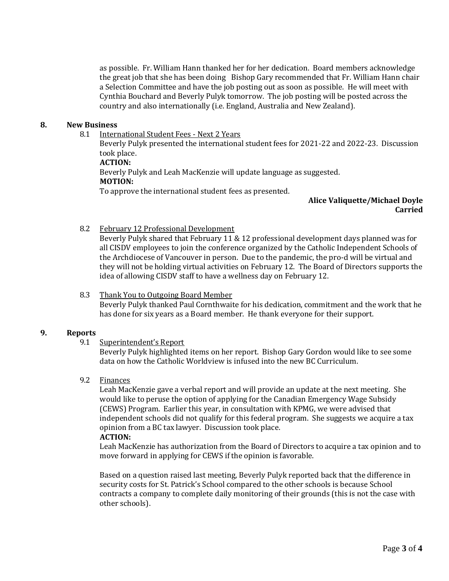as possible. Fr. William Hann thanked her for her dedication. Board members acknowledge the great job that she has been doing Bishop Gary recommended that Fr. William Hann chair a Selection Committee and have the job posting out as soon as possible. He will meet with Cynthia Bouchard and Beverly Pulyk tomorrow. The job posting will be posted across the country and also internationally (i.e. England, Australia and New Zealand).

#### **8. New Business**

8.1 International Student Fees - Next 2 Years

Beverly Pulyk presented the international student fees for 2021-22 and 2022-23. Discussion took place.

## **ACTION:**

Beverly Pulyk and Leah MacKenzie will update language as suggested. **MOTION:**

To approve the international student fees as presented.

#### **Alice Valiquette/Michael Doyle Carried**

#### 8.2 February 12 Professional Development

Beverly Pulyk shared that February 11 & 12 professional development days planned was for all CISDV employees to join the conference organized by the Catholic Independent Schools of the Archdiocese of Vancouver in person. Due to the pandemic, the pro-d will be virtual and they will not be holding virtual activities on February 12. The Board of Directors supports the idea of allowing CISDV staff to have a wellness day on February 12.

#### 8.3 Thank You to Outgoing Board Member

Beverly Pulyk thanked Paul Cornthwaite for his dedication, commitment and the work that he has done for six years as a Board member. He thank everyone for their support.

#### **9. Reports**

#### 9.1 Superintendent's Report

Beverly Pulyk highlighted items on her report. Bishop Gary Gordon would like to see some data on how the Catholic Worldview is infused into the new BC Curriculum.

#### 9.2 Finances

Leah MacKenzie gave a verbal report and will provide an update at the next meeting. She would like to peruse the option of applying for the Canadian Emergency Wage Subsidy (CEWS) Program. Earlier this year, in consultation with KPMG, we were advised that independent schools did not qualify for this federal program. She suggests we acquire a tax opinion from a BC tax lawyer. Discussion took place.

### **ACTION:**

Leah MacKenzie has authorization from the Board of Directors to acquire a tax opinion and to move forward in applying for CEWS if the opinion is favorable.

Based on a question raised last meeting, Beverly Pulyk reported back that the difference in security costs for St. Patrick's School compared to the other schools is because School contracts a company to complete daily monitoring of their grounds (this is not the case with other schools).